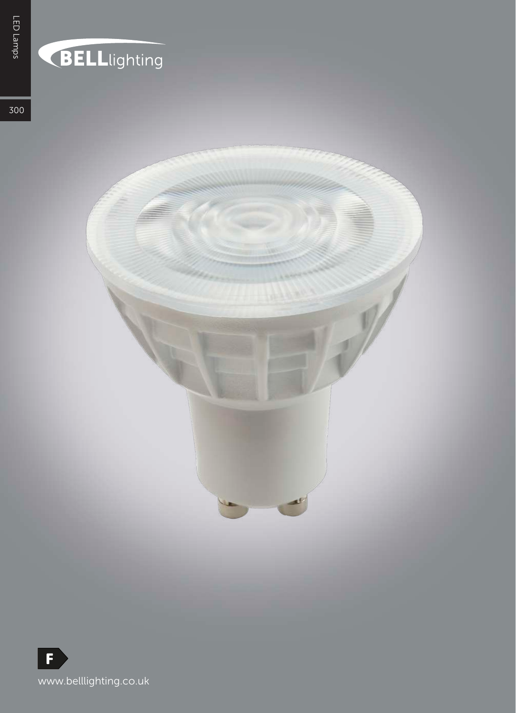## BELLlighting

300